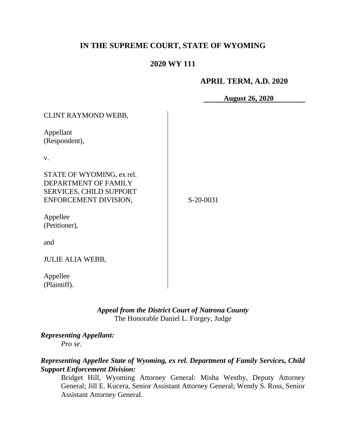# **IN THE SUPREME COURT, STATE OF WYOMING**

## **2020 WY 111**

#### **APRIL TERM, A.D. 2020**

**August 26, 2020**

| CLINT RAYMOND WEBB,                                                                                          |           |
|--------------------------------------------------------------------------------------------------------------|-----------|
| Appellant<br>(Respondent),                                                                                   |           |
| V.                                                                                                           |           |
| STATE OF WYOMING, ex rel.<br>DEPARTMENT OF FAMILY<br><b>SERVICES, CHILD SUPPORT</b><br>ENFORCEMENT DIVISION, | S-20-0031 |
| Appellee<br>(Petitioner),                                                                                    |           |
| and                                                                                                          |           |
| <b>JULIE ALIA WEBB,</b>                                                                                      |           |
| Appellee<br>(Plaintiff).                                                                                     |           |

## *Appeal from the District Court of Natrona County* The Honorable Daniel L. Forgey, Judge

#### *Representing Appellant:*

*Pro se.*

## *Representing Appellee State of Wyoming, ex rel. Department of Family Services, Child Support Enforcement Division:*

Bridget Hill, Wyoming Attorney General: Misha Westby, Deputy Attorney General; Jill E. Kucera, Senior Assistant Attorney General; Wendy S. Ross, Senior Assistant Attorney General.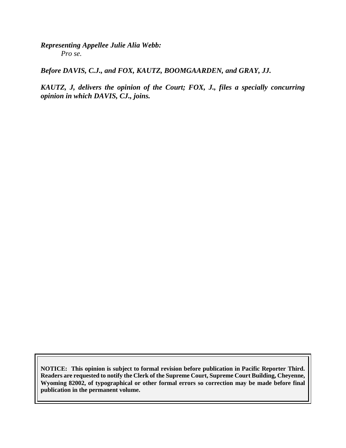*Representing Appellee Julie Alia Webb: Pro se.*

*Before DAVIS, C.J., and FOX, KAUTZ, BOOMGAARDEN, and GRAY, JJ.*

*KAUTZ, J, delivers the opinion of the Court; FOX, J., files a specially concurring opinion in which DAVIS, CJ., joins.*

**NOTICE: This opinion is subject to formal revision before publication in Pacific Reporter Third. Readers are requested to notify the Clerk of the Supreme Court, Supreme Court Building, Cheyenne, Wyoming 82002, of typographical or other formal errors so correction may be made before final publication in the permanent volume.**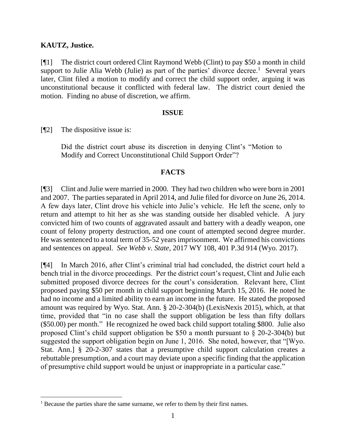## **KAUTZ, Justice.**

[¶1] The district court ordered Clint Raymond Webb (Clint) to pay \$50 a month in child support to Julie Alia Webb (Julie) as part of the parties' divorce decree.<sup>1</sup> Several years later, Clint filed a motion to modify and correct the child support order, arguing it was unconstitutional because it conflicted with federal law. The district court denied the motion. Finding no abuse of discretion, we affirm.

## **ISSUE**

[¶2] The dispositive issue is:

Did the district court abuse its discretion in denying Clint's "Motion to Modify and Correct Unconstitutional Child Support Order"?

## **FACTS**

[¶3] Clint and Julie were married in 2000. They had two children who were born in 2001 and 2007. The parties separated in April 2014, and Julie filed for divorce on June 26, 2014. A few days later, Clint drove his vehicle into Julie's vehicle. He left the scene, only to return and attempt to hit her as she was standing outside her disabled vehicle. A jury convicted him of two counts of aggravated assault and battery with a deadly weapon, one count of felony property destruction, and one count of attempted second degree murder. He was sentenced to a total term of 35-52 years imprisonment. We affirmed his convictions and sentences on appeal. *See Webb v. State*, 2017 WY 108, 401 P.3d 914 (Wyo. 2017).

[¶4] In March 2016, after Clint's criminal trial had concluded, the district court held a bench trial in the divorce proceedings. Per the district court's request, Clint and Julie each submitted proposed divorce decrees for the court's consideration. Relevant here, Clint proposed paying \$50 per month in child support beginning March 15, 2016. He noted he had no income and a limited ability to earn an income in the future. He stated the proposed amount was required by Wyo. Stat. Ann. § 20-2-304(b) (LexisNexis 2015), which, at that time, provided that "in no case shall the support obligation be less than fifty dollars (\$50.00) per month." He recognized he owed back child support totaling \$800. Julie also proposed Clint's child support obligation be \$50 a month pursuant to § 20-2-304(b) but suggested the support obligation begin on June 1, 2016. She noted, however, that "[Wyo. Stat. Ann.] § 20-2-307 states that a presumptive child support calculation creates a rebuttable presumption, and a court may deviate upon a specific finding that the application of presumptive child support would be unjust or inappropriate in a particular case."

<sup>&</sup>lt;sup>1</sup> Because the parties share the same surname, we refer to them by their first names.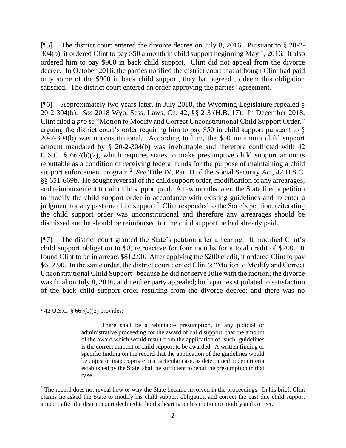[¶5] The district court entered the divorce decree on July 8, 2016. Pursuant to § 20-2- 304(b), it ordered Clint to pay \$50 a month in child support beginning May 1, 2016. It also ordered him to pay \$900 in back child support. Clint did not appeal from the divorce decree. In October 2016, the parties notified the district court that although Clint had paid only some of the \$900 in back child support, they had agreed to deem this obligation satisfied. The district court entered an order approving the parties' agreement.

[¶6] Approximately two years later, in July 2018, the Wyoming Legislature repealed § 20-2-304(b). *See* 2018 Wyo. Sess. Laws, Ch. 42, §§ 2-3 (H.B. 17). In December 2018, Clint filed a *pro se* "Motion to Modify and Correct Unconstitutional Child Support Order," arguing the district court's order requiring him to pay \$50 in child support pursuant to § 20-2-304(b) was unconstitutional. According to him, the \$50 minimum child support amount mandated by § 20-2-304(b) was irrebuttable and therefore conflicted with 42 U.S.C. § 667(b)(2), which requires states to make presumptive child support amounts rebuttable as a condition of receiving federal funds for the purpose of maintaining a child support enforcement program.<sup>2</sup> See Title IV, Part D of the Social Security Act, 42 U.S.C. §§ 651-669b. He sought reversal of the child support order, modification of any arrearages, and reimbursement for all child support paid. A few months later, the State filed a petition to modify the child support order in accordance with existing guidelines and to enter a judgment for any past due child support.<sup>3</sup> Clint responded to the State's petition, reiterating the child support order was unconstitutional and therefore any arrearages should be dismissed and he should be reimbursed for the child support he had already paid.

[¶7] The district court granted the State's petition after a hearing. It modified Clint's child support obligation to \$0, retroactive for four months for a total credit of \$200. It found Clint to be in arrears \$812.90. After applying the \$200 credit, it ordered Clint to pay \$612.90. In the same order, the district court denied Clint's "Motion to Modify and Correct Unconstitutional Child Support" because he did not serve Julie with the motion; the divorce was final on July 8, 2016, and neither party appealed; both parties stipulated to satisfaction of the back child support order resulting from the divorce decree; and there was no

<sup>2</sup> 42 U.S.C. § 667(b)(2) provides:

There shall be a rebuttable presumption, in any judicial or administrative proceeding for the award of child support, that the amount of the award which would result from the application of such guidelines is the correct amount of child support to be awarded. A written finding or specific finding on the record that the application of the guidelines would be unjust or inappropriate in a particular case, as determined under criteria established by the State, shall be sufficient to rebut the presumption in that case.

<sup>&</sup>lt;sup>3</sup> The record does not reveal how or why the State became involved in the proceedings. In his brief, Clint claims he asked the State to modify his child support obligation and correct the past due child support amount after the district court declined to hold a hearing on his motion to modify and correct.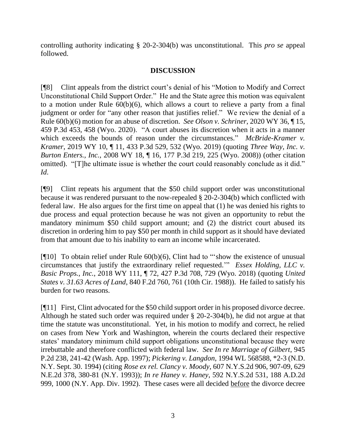controlling authority indicating § 20-2-304(b) was unconstitutional. This *pro se* appeal followed.

# **DISCUSSION**

[¶8] Clint appeals from the district court's denial of his "Motion to Modify and Correct Unconstitutional Child Support Order." He and the State agree this motion was equivalent to a motion under Rule 60(b)(6), which allows a court to relieve a party from a final judgment or order for "any other reason that justifies relief." We review the denial of a Rule 60(b)(6) motion for an abuse of discretion. *See Olson v. Schriner*, 2020 WY 36, ¶ 15, 459 P.3d 453, 458 (Wyo. 2020). "A court abuses its discretion when it acts in a manner which exceeds the bounds of reason under the circumstances." *McBride-Kramer v. Kramer*, 2019 WY 10, ¶ 11, 433 P.3d 529, 532 (Wyo. 2019) (quoting *Three Way, Inc. v. Burton Enters., Inc.*, 2008 WY 18, ¶ 16, 177 P.3d 219, 225 (Wyo. 2008)) (other citation omitted). "[T]he ultimate issue is whether the court could reasonably conclude as it did." *Id*.

[¶9] Clint repeats his argument that the \$50 child support order was unconstitutional because it was rendered pursuant to the now-repealed § 20-2-304(b) which conflicted with federal law. He also argues for the first time on appeal that (1) he was denied his rights to due process and equal protection because he was not given an opportunity to rebut the mandatory minimum \$50 child support amount; and (2) the district court abused its discretion in ordering him to pay \$50 per month in child support as it should have deviated from that amount due to his inability to earn an income while incarcerated.

[¶10] To obtain relief under Rule 60(b)(6), Clint had to "'show the existence of unusual circumstances that justify the extraordinary relief requested.'" *Essex Holding, LLC v. Basic Props., Inc.*, 2018 WY 111, ¶ 72, 427 P.3d 708, 729 (Wyo. 2018) (quoting *United States v. 31.63 Acres of Land*, 840 F.2d 760, 761 (10th Cir. 1988)). He failed to satisfy his burden for two reasons.

[¶11] First, Clint advocated for the \$50 child support order in his proposed divorce decree. Although he stated such order was required under § 20-2-304(b), he did not argue at that time the statute was unconstitutional. Yet, in his motion to modify and correct, he relied on cases from New York and Washington, wherein the courts declared their respective states' mandatory minimum child support obligations unconstitutional because they were irrebuttable and therefore conflicted with federal law. *See In re Marriage of Gilbert*, 945 P.2d 238, 241-42 (Wash. App. 1997); *Pickering v. Langdon*, 1994 WL 568588, \*2-3 (N.D. N.Y. Sept. 30. 1994) (citing *Rose ex rel. Clancy v. Moody*, 607 N.Y.S.2d 906, 907-09, 629 N.E.2d 378, 380-81 (N.Y. 1993)); *In re Haney v. Haney*, 592 N.Y.S.2d 531, 188 A.D.2d 999, 1000 (N.Y. App. Div. 1992). These cases were all decided before the divorce decree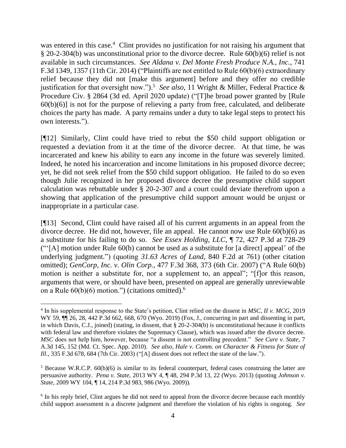was entered in this case.<sup>4</sup> Clint provides no justification for not raising his argument that § 20-2-304(b) was unconstitutional prior to the divorce decree. Rule 60(b)(6) relief is not available in such circumstances. *See Aldana v. Del Monte Fresh Produce N.A., Inc.*, 741 F.3d 1349, 1357 (11th Cir. 2014) ("Plaintiffs are not entitled to Rule 60(b)(6) extraordinary relief because they did not [make this argument] before and they offer no credible justification for that oversight now.").<sup>5</sup> See also, 11 Wright & Miller, Federal Practice & Procedure Civ. § 2864 (3d ed. April 2020 update) ("[T]he broad power granted by [Rule  $60(b)(6)$ ] is not for the purpose of relieving a party from free, calculated, and deliberate choices the party has made. A party remains under a duty to take legal steps to protect his own interests.").

[¶12] Similarly, Clint could have tried to rebut the \$50 child support obligation or requested a deviation from it at the time of the divorce decree. At that time, he was incarcerated and knew his ability to earn any income in the future was severely limited. Indeed, he noted his incarceration and income limitations in his proposed divorce decree; yet, he did not seek relief from the \$50 child support obligation. He failed to do so even though Julie recognized in her proposed divorce decree the presumptive child support calculation was rebuttable under § 20-2-307 and a court could deviate therefrom upon a showing that application of the presumptive child support amount would be unjust or inappropriate in a particular case.

[¶13] Second, Clint could have raised all of his current arguments in an appeal from the divorce decree. He did not, however, file an appeal. He cannot now use Rule 60(b)(6) as a substitute for his failing to do so. *See Essex Holding, LLC,* ¶ 72, 427 P.3d at 728-29 ("'[A] motion under Rule 60(b) cannot be used as a substitute for [a direct] appeal' of the underlying judgment.") (quoting *31.63 Acres of Land*, 840 F.2d at 761) (other citation omitted); *GenCorp, Inc. v. Olin Corp.*, 477 F.3d 368, 373 (6th Cir. 2007) ("A Rule 60(b) motion is neither a substitute for, nor a supplement to, an appeal"; "[f]or this reason, arguments that were, or should have been, presented on appeal are generally unreviewable on a Rule  $60(b)(6)$  motion.") (citations omitted).<sup>6</sup>

<sup>4</sup> In his supplemental response to the State's petition, Clint relied on the dissent in *MSC, II v. MCG*, 2019 WY 59,  $\P$ [ 26, 28, 442 P.3d 662, 668, 670 (Wyo. 2019) (Fox, J., concurring in part and dissenting in part, in which Davis, C.J., joined) (stating, in dissent, that § 20-2-304(b) is unconstitutional because it conflicts with federal law and therefore violates the Supremacy Clause), which was issued after the divorce decree. *MSC* does not help him, however, because "a dissent is not controlling precedent." *See Cure v. State*, 7 A.3d 145, 152 (Md. Ct. Spec. App. 2010). *See also, Hale v. Comm. on Character & Fitness for State of Ill.*, 335 F.3d 678, 684 (7th Cir. 2003) ("[A] dissent does not reflect the state of the law.").

<sup>5</sup> Because W.R.C.P. 60(b)(6) is similar to its federal counterpart, federal cases construing the latter are persuasive authority. *Pena v. State,* 2013 WY 4, ¶ 48, 294 P.3d 13, 22 (Wyo. 2013) (quoting *Johnson v. State,* 2009 WY 104, ¶ 14, 214 P.3d 983, 986 (Wyo. 2009)).

<sup>&</sup>lt;sup>6</sup> In his reply brief, Clint argues he did not need to appeal from the divorce decree because each monthly child support assessment is a discrete judgment and therefore the violation of his rights is ongoing. *See*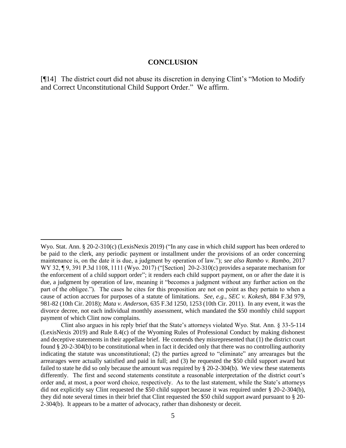#### **CONCLUSION**

[¶14] The district court did not abuse its discretion in denying Clint's "Motion to Modify and Correct Unconstitutional Child Support Order." We affirm.

Wyo. Stat. Ann. § 20-2-310(c) (LexisNexis 2019) ("In any case in which child support has been ordered to be paid to the clerk, any periodic payment or installment under the provisions of an order concerning maintenance is, on the date it is due, a judgment by operation of law."); *see also Rambo v. Rambo*, 2017 WY 32, ¶9, 391 P.3d 1108, 1111 (Wyo. 2017) ("[Section] 20-2-310(c) provides a separate mechanism for the enforcement of a child support order"; it renders each child support payment, on or after the date it is due, a judgment by operation of law, meaning it "becomes a judgment without any further action on the part of the obligee."). The cases he cites for this proposition are not on point as they pertain to when a cause of action accrues for purposes of a statute of limitations. *See, e.g., SEC v. Kokesh*, 884 F.3d 979, 981-82 (10th Cir. 2018); *Mata v. Anderson*, 635 F.3d 1250, 1253 (10th Cir. 2011). In any event, it was the divorce decree, not each individual monthly assessment, which mandated the \$50 monthly child support payment of which Clint now complains.

Clint also argues in his reply brief that the State's attorneys violated Wyo. Stat. Ann. § 33-5-114 (LexisNexis 2019) and Rule 8.4(c) of the Wyoming Rules of Professional Conduct by making dishonest and deceptive statements in their appellate brief. He contends they misrepresented that (1) the district court found § 20-2-304(b) to be constitutional when in fact it decided only that there was no controlling authority indicating the statute was unconstitutional; (2) the parties agreed to "eliminate" any arrearages but the arrearages were actually satisfied and paid in full; and (3) he requested the \$50 child support award but failed to state he did so only because the amount was required by § 20-2-304(b). We view these statements differently. The first and second statements constitute a reasonable interpretation of the district court's order and, at most, a poor word choice, respectively. As to the last statement, while the State's attorneys did not explicitly say Clint requested the \$50 child support because it was required under § 20-2-304(b), they did note several times in their brief that Clint requested the \$50 child support award pursuant to § 20- 2-304(b). It appears to be a matter of advocacy, rather than dishonesty or deceit.